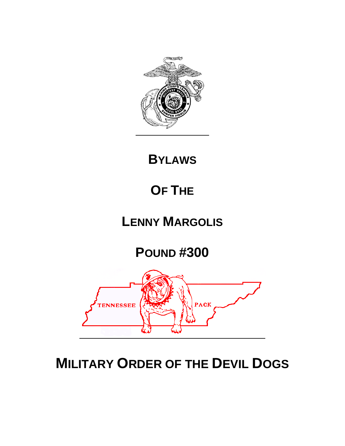

**BYLAWS**

# **OF THE**

# **LENNY MARGOLIS**

**POUND #300** 



# **MILITARY ORDER OF THE DEVIL DOGS**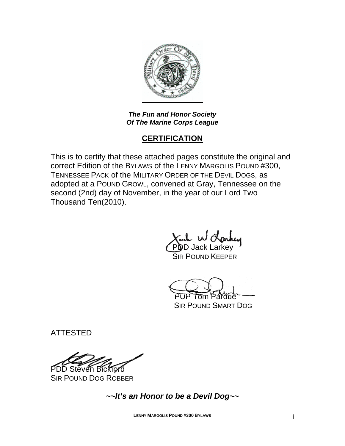

*The Fun and Honor Society Of The Marine Corps League* 

# **CERTIFICATION**

This is to certify that these attached pages constitute the original and correct Edition of the BYLAWS of the LENNY MARGOLIS POUND #300, TENNESSEE PACK of the MILITARY ORDER OF THE DEVIL DOGS, as adopted at a POUND GROWL, convened at Gray, Tennessee on the second (2nd) day of November, in the year of our Lord Two Thousand Ten(2010).

 $\omega$  w  $\tilde{C}$ POD Jack Larkey SIR POUND KEEPER

PUP Tom Pardue

SIR POUND SMART DOG

ATTESTED

PDD Steven Bickford

SIR POUND DOG ROBBER

*~~It's an Honor to be a Devil Dog~~* 

**LENNY MARGOLIS POUND #300 BYLAWS** i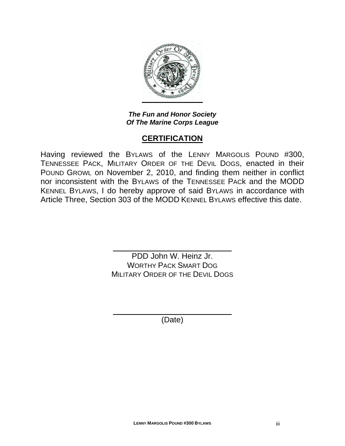

*The Fun and Honor Society Of The Marine Corps League* 

# **CERTIFICATION**

Having reviewed the BYLAWS of the LENNY MARGOLIS POUND #300, TENNESSEE PACK, MILITARY ORDER OF THE DEVIL DOGS, enacted in their POUND GROWL on November 2, 2010, and finding them neither in conflict nor inconsistent with the BYLAWS of the TENNESSEE PACk and the MODD KENNEL BYLAWS, I do hereby approve of said BYLAWS in accordance with Article Three, Section 303 of the MODD KENNEL BYLAWS effective this date.

> \_\_\_\_\_\_\_\_\_\_\_\_\_\_\_\_\_\_\_\_\_\_\_\_\_\_\_ PDD John W. Heinz Jr. WORTHY PACK SMART DOG MILITARY ORDER OF THE DEVIL DOGS

\_\_\_\_\_\_\_\_\_\_\_\_\_\_\_\_\_\_\_\_\_\_\_\_\_\_\_ (Date)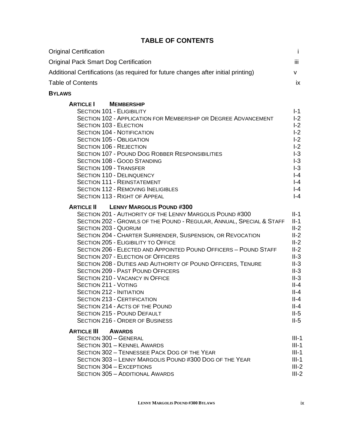## **TABLE OF CONTENTS**

| <b>Original Certification</b>                                                                                                                                                                                                                                                                                                                                                                                                                                                                                                                                                                                                                                                                                                                                                                                                                         | i                                                                                                                                                            |
|-------------------------------------------------------------------------------------------------------------------------------------------------------------------------------------------------------------------------------------------------------------------------------------------------------------------------------------------------------------------------------------------------------------------------------------------------------------------------------------------------------------------------------------------------------------------------------------------------------------------------------------------------------------------------------------------------------------------------------------------------------------------------------------------------------------------------------------------------------|--------------------------------------------------------------------------------------------------------------------------------------------------------------|
| <b>Original Pack Smart Dog Certification</b>                                                                                                                                                                                                                                                                                                                                                                                                                                                                                                                                                                                                                                                                                                                                                                                                          | iii                                                                                                                                                          |
| Additional Certifications (as required for future changes after initial printing)                                                                                                                                                                                                                                                                                                                                                                                                                                                                                                                                                                                                                                                                                                                                                                     | V                                                                                                                                                            |
| <b>Table of Contents</b>                                                                                                                                                                                                                                                                                                                                                                                                                                                                                                                                                                                                                                                                                                                                                                                                                              | ix                                                                                                                                                           |
| <b>BYLAWS</b>                                                                                                                                                                                                                                                                                                                                                                                                                                                                                                                                                                                                                                                                                                                                                                                                                                         |                                                                                                                                                              |
| <b>ARTICLE</b> I<br><b>MEMBERSHIP</b><br><b>SECTION 101 - ELIGIBILITY</b><br>SECTION 102 - APPLICATION FOR MEMBERSHIP OR DEGREE ADVANCEMENT<br><b>SECTION 103 - ELECTION</b><br><b>SECTION 104 - NOTIFICATION</b><br><b>SECTION 105 - OBLIGATION</b><br><b>SECTION 106 - REJECTION</b><br><b>SECTION 107 - POUND DOG ROBBER RESPONSIBILITIES</b><br><b>SECTION 108 - GOOD STANDING</b><br><b>SECTION 109 - TRANSFER</b><br><b>SECTION 110 - DELINQUENCY</b><br><b>SECTION 111 - REINSTATEMENT</b>                                                                                                                                                                                                                                                                                                                                                     | $I-1$<br>$I-2$<br>$-2$<br>$I-2$<br>$-2$<br>$-2$<br>$-3$<br>$-3$<br>$I-3$<br>$I - 4$<br>$I - 4$                                                               |
| <b>SECTION 112 - REMOVING INELIGIBLES</b><br><b>SECTION 113 - RIGHT OF APPEAL</b>                                                                                                                                                                                                                                                                                                                                                                                                                                                                                                                                                                                                                                                                                                                                                                     | $-4$<br>$I - 4$                                                                                                                                              |
| <b>ARTICLE II</b><br><b>LENNY MARGOLIS POUND #300</b><br>SECTION 201 - AUTHORITY OF THE LENNY MARGOLIS POUND #300<br>SECTION 202 - GROWLS OF THE POUND - REGULAR, ANNUAL, SPECIAL & STAFF<br><b>SECTION 203 - QUORUM</b><br>SECTION 204 - CHARTER SURRENDER, SUSPENSION, OR REVOCATION<br>SECTION 205 - ELIGIBILITY TO OFFICE<br>SECTION 206 - ELECTED AND APPOINTED POUND OFFICERS - POUND STAFF<br><b>SECTION 207 - ELECTION OF OFFICERS</b><br>SECTION 208 - DUTIES AND AUTHORITY OF POUND OFFICERS, TENURE<br><b>SECTION 209 - PAST POUND OFFICERS</b><br><b>SECTION 210 - VACANCY IN OFFICE</b><br><b>SECTION 211 - VOTING</b><br><b>SECTION 212 - INITIATION</b><br><b>SECTION 213 - CERTIFICATION</b><br>SECTION 214 - ACTS OF THE POUND<br>SECTION 215 - POUND DEFAULT<br><b>SECTION 216 - ORDER OF BUSINESS</b><br><b>ARTICLE III AWARDS</b> | $II-1$<br>$II-1$<br>$II-2$<br>$II-2$<br>$II-2$<br>$II-2$<br>$II-3$<br>$II-3$<br>$II-3$<br>$II-3$<br>$II-4$<br>$II-4$<br>$II-4$<br>$II-4$<br>$II-5$<br>$II-5$ |
| <b>SECTION 300 - GENERAL</b><br><b>SECTION 301 - KENNEL AWARDS</b><br>SECTION 302 - TENNESSEE PACK DOG OF THE YEAR<br>SECTION 303 - LENNY MARGOLIS POUND #300 DOG OF THE YEAR<br>SECTION 304 - EXCEPTIONS<br><b>SECTION 305 - ADDITIONAL AWARDS</b>                                                                                                                                                                                                                                                                                                                                                                                                                                                                                                                                                                                                   | $III-1$<br>$III-1$<br>$III-1$<br>$III-1$<br>$III-2$<br>$III-2$                                                                                               |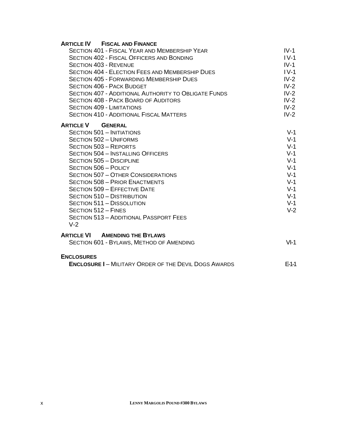#### **ARTICLE IV FISCAL AND FINANCE**

| SECTION 401 - FISCAL YEAR AND MEMBERSHIP YEAR               | $IV-1$ |
|-------------------------------------------------------------|--------|
| <b>SECTION 402 - FISCAL OFFICERS AND BONDING</b>            | $IV-1$ |
| <b>SECTION 403 - REVENUE</b>                                | $IV-1$ |
| <b>SECTION 404 - ELECTION FEES AND MEMBERSHIP DUES</b>      | $IV-1$ |
| <b>SECTION 405 - FORWARDING MEMBERSHIP DUES</b>             | $IV-2$ |
| <b>SECTION 406 - PACK BUDGET</b>                            | $IV-2$ |
| <b>SECTION 407 - ADDITIONAL AUTHORITY TO OBLIGATE FUNDS</b> | $IV-2$ |
| <b>SECTION 408 - PACK BOARD OF AUDITORS</b>                 | $IV-2$ |
| <b>SECTION 409 - LIMITATIONS</b>                            | $IV-2$ |
| <b>SECTION 410 - ADDITIONAL FISCAL MATTERS</b>              | $IV-2$ |
| <b>ARTICLE V</b><br><b>GENERAL</b>                          |        |
| <b>SECTION 501 - INITIATIONS</b>                            | $V-1$  |
| <b>SECTION 502 - UNIFORMS</b>                               | $V-1$  |
| <b>SECTION 503 - REPORTS</b>                                | $V-1$  |
| <b>SECTION 504 - INSTALLING OFFICERS</b>                    | $V-1$  |
| <b>SECTION 505 - DISCIPLINE</b>                             | $V-1$  |
| SECTION 506 - POLICY                                        | $V-1$  |
| <b>SECTION 507 - OTHER CONSIDERATIONS</b>                   | $V-1$  |
| <b>SECTION 508 - PRIOR ENACTMENTS</b>                       | $V-1$  |
| <b>SECTION 509 - EFFECTIVE DATE</b>                         | $V-1$  |
| SECTION 510 - DISTRIBUTION                                  | $V-1$  |
| SECTION 511 - DISSOLUTION                                   | $V-1$  |
| SECTION 512 - FINES                                         | $V-2$  |
| <b>SECTION 513 - ADDITIONAL PASSPORT FEES</b>               |        |
| $V-2$                                                       |        |
| <b>ARTICLE VI</b><br><b>AMENDING THE BYLAWS</b>             |        |
| SECTION 601 - BYLAWS, METHOD OF AMENDING                    | $VI-1$ |
| <b>ENCLOSURES</b>                                           |        |
|                                                             |        |

| <b>ENCLOSURE I-MILITARY ORDER OF THE DEVIL DOGS AWARDS</b> | $E-1-1$ |
|------------------------------------------------------------|---------|
|------------------------------------------------------------|---------|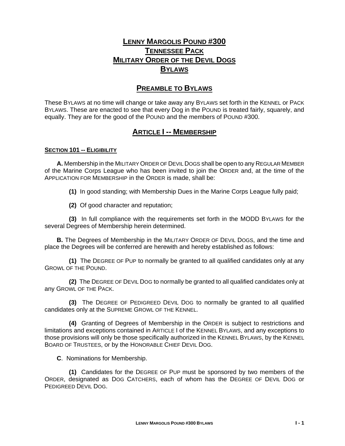# **LENNY MARGOLIS POUND #300 TENNESSEE PACK MILITARY ORDER OF THE DEVIL DOGS BYLAWS**

### **PREAMBLE TO BYLAWS**

These BYLAWS at no time will change or take away any BYLAWS set forth in the KENNEL or PACK BYLAWS. These are enacted to see that every Dog in the POUND is treated fairly, squarely, and equally. They are for the good of the POUND and the members of POUND #300.

### **ARTICLE I -- MEMBERSHIP**

#### **SECTION 101 -- ELIGIBILITY**

 **A.** Membership in the MILITARY ORDER OF DEVIL DOGS shall be open to any REGULAR MEMBER of the Marine Corps League who has been invited to join the ORDER and, at the time of the APPLICATION FOR MEMBERSHIP in the ORDER is made, shall be:

**(1)** In good standing; with Membership Dues in the Marine Corps League fully paid;

**(2)** Of good character and reputation;

 **(3)** In full compliance with the requirements set forth in the MODD BYLAWS for the several Degrees of Membership herein determined.

**B.** The Degrees of Membership in the MILITARY ORDER OF DEVIL DOGS, and the time and place the Degrees will be conferred are herewith and hereby established as follows:

 **(1)** The DEGREE OF PUP to normally be granted to all qualified candidates only at any GROWL OF THE POUND.

 **(2)** The DEGREE OF DEVIL DOG to normally be granted to all qualified candidates only at any GROWL OF THE PACK.

 **(3)** The DEGREE OF PEDIGREED DEVIL DOG to normally be granted to all qualified candidates only at the SUPREME GROWL OF THE KENNEL.

 **(4)** Granting of Degrees of Membership in the ORDER is subject to restrictions and limitations and exceptions contained in ARTICLE I of the KENNEL BYLAWS, and any exceptions to those provisions will only be those specifically authorized in the KENNEL BYLAWS, by the KENNEL BOARD OF TRUSTEES, or by the HONORABLE CHIEF DEVIL DOG.

**C**. Nominations for Membership.

 **(1)** Candidates for the DEGREE OF PUP must be sponsored by two members of the ORDER, designated as DOG CATCHERS, each of whom has the DEGREE OF DEVIL DOG or PEDIGREED DEVIL DOG.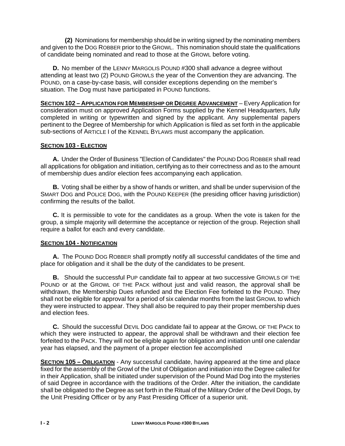**(2)** Nominations for membership should be in writing signed by the nominating members and given to the DOG ROBBER prior to the GROWL. This nomination should state the qualifications of candidate being nominated and read to those at the GROWL before voting.

**D.** No member of the LENNY MARGOLIS POUND #300 shall advance a degree without attending at least two (2) POUND GROWLS the year of the Convention they are advancing. The POUND, on a case-by-case basis, will consider exceptions depending on the member's situation. The Dog must have participated in POUND functions.

**SECTION 102 – APPLICATION FOR MEMBERSHIP OR DEGREE ADVANCEMENT** – Every Application for consideration must on approved Application Forms supplied by the Kennel Headquarters, fully completed in writing or typewritten and signed by the applicant. Any supplemental papers pertinent to the Degree of Membership for which Application is filed as set forth in the applicable sub-sections of ARTICLE I of the KENNEL BYLAWS must accompany the application.

#### **SECTION 103 - ELECTION**

**A.** Under the Order of Business "Election of Candidates" the POUND DOG ROBBER shall read all applications for obligation and initiation, certifying as to their correctness and as to the amount of membership dues and/or election fees accompanying each application.

**B.** Voting shall be either by a show of hands or written, and shall be under supervision of the SMART DOG and POLICE DOG, with the POUND KEEPER (the presiding officer having jurisdiction) confirming the results of the ballot.

**C.** It is permissible to vote for the candidates as a group. When the vote is taken for the group, a simple majority will determine the acceptance or rejection of the group. Rejection shall require a ballot for each and every candidate.

#### **SECTION 104 - NOTIFICATION**

**A.** The POUND DOG ROBBER shall promptly notify all successful candidates of the time and place for obligation and it shall be the duty of the candidates to be present.

**B.** Should the successful PUP candidate fail to appear at two successive GROWLS OF THE POUND or at the GROWL OF THE PACK without just and valid reason, the approval shall be withdrawn, the Membership Dues refunded and the Election Fee forfeited to the POUND. They shall not be eligible for approval for a period of six calendar months from the last GROWL to which they were instructed to appear. They shall also be required to pay their proper membership dues and election fees.

**C.** Should the successful DEVIL DOG candidate fail to appear at the GROWL OF THE PACK to which they were instructed to appear, the approval shall be withdrawn and their election fee forfeited to the PACK. They will not be eligible again for obligation and initiation until one calendar year has elapsed, and the payment of a proper election fee accomplished

**SECTION 105 – OBLIGATION** - Any successful candidate, having appeared at the time and place fixed for the assembly of the Growl of the Unit of Obligation and initiation into the Degree called for in their Application, shall be initiated under supervision of the Pound Mad Dog into the mysteries of said Degree in accordance with the traditions of the Order. After the initiation, the candidate shall be obligated to the Degree as set forth in the Ritual of the Military Order of the Devil Dogs, by the Unit Presiding Officer or by any Past Presiding Officer of a superior unit.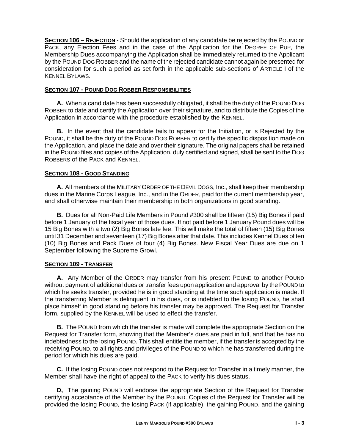**SECTION 106 – REJECTION** - Should the application of any candidate be rejected by the POUND or PACK, any Election Fees and in the case of the Application for the DEGREE OF PUP, the Membership Dues accompanying the Application shall be immediately returned to the Applicant by the POUND DOG ROBBER and the name of the rejected candidate cannot again be presented for consideration for such a period as set forth in the applicable sub-sections of ARTICLE I of the KENNEL BYLAWS.

#### **SECTION 107 - POUND DOG ROBBER RESPONSIBILITIES**

**A.** When a candidate has been successfully obligated, it shall be the duty of the POUND DOG ROBBER to date and certify the Application over their signature, and to distribute the Copies of the Application in accordance with the procedure established by the KENNEL.

**B.** In the event that the candidate fails to appear for the Initiation, or is Rejected by the POUND, it shall be the duty of the POUND DOG ROBBER to certify the specific disposition made on the Application, and place the date and over their signature. The original papers shall be retained in the POUND files and copies of the Application, duly certified and signed, shall be sent to the DOG ROBBERS of the PACK and KENNEL.

#### **SECTION 108 - GOOD STANDING**

**A.** All members of the MILITARY ORDER OF THE DEVIL DOGS, Inc., shall keep their membership dues in the Marine Corps League, Inc., and in the ORDER, paid for the current membership year, and shall otherwise maintain their membership in both organizations in good standing.

**B.** Dues for all Non-Paid Life Members in Pound #300 shall be fifteen (15) Big Bones if paid before 1 January of the fiscal year of those dues. If not paid before 1 January Pound dues will be 15 Big Bones with a two (2) Big Bones late fee. This will make the total of fifteen (15) Big Bones until 31 December and seventeen (17) Big Bones after that date. This includes Kennel Dues of ten (10) Big Bones and Pack Dues of four (4) Big Bones. New Fiscal Year Dues are due on 1 September following the Supreme Growl.

#### **SECTION 109 - TRANSFER**

**A.** Any Member of the ORDER may transfer from his present POUND to another POUND without payment of additional dues or transfer fees upon application and approval by the POUND to which he seeks transfer, provided he is in good standing at the time such application is made. If the transferring Member is delinquent in his dues, or is indebted to the losing POUND, he shall place himself in good standing before his transfer may be approved. The Request for Transfer form, supplied by the KENNEL will be used to effect the transfer.

**B.** The POUND from which the transfer is made will complete the appropriate Section on the Request for Transfer form, showing that the Member's dues are paid in full, and that he has no indebtedness to the losing POUND. This shall entitle the member, if the transfer is accepted by the receiving POUND, to all rights and privileges of the POUND to which he has transferred during the period for which his dues are paid.

**C.** If the losing POUND does not respond to the Request for Transfer in a timely manner, the Member shall have the right of appeal to the PACK to verify his dues status.

**D,** The gaining POUND will endorse the appropriate Section of the Request for Transfer certifying acceptance of the Member by the POUND. Copies of the Request for Transfer will be provided the losing POUND, the losing PACK (if applicable), the gaining POUND, and the gaining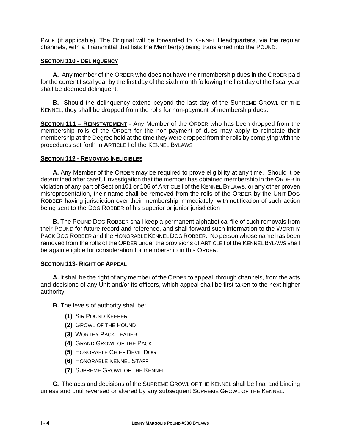PACK (if applicable). The Original will be forwarded to KENNEL Headquarters, via the regular channels, with a Transmittal that lists the Member(s) being transferred into the POUND.

#### **SECTION 110 - DELINQUENCY**

**A.** Any member of the ORDER who does not have their membership dues in the ORDER paid for the current fiscal year by the first day of the sixth month following the first day of the fiscal year shall be deemed delinquent.

**B.** Should the delinquency extend beyond the last day of the SUPREME GROWL OF THE KENNEL, they shall be dropped from the rolls for non-payment of membership dues.

**SECTION 111 – REINSTATEMENT** - Any Member of the ORDER who has been dropped from the membership rolls of the ORDER for the non-payment of dues may apply to reinstate their membership at the Degree held at the time they were dropped from the rolls by complying with the procedures set forth in ARTICLE I of the KENNEL BYLAWS

#### **SECTION 112 - REMOVING INELIGIBLES**

**A.** Any Member of the ORDER may be required to prove eligibility at any time. Should it be determined after careful investigation that the member has obtained membership in the ORDER in violation of any part of Section101 or 106 of ARTICLE I of the KENNEL BYLAWS, or any other proven misrepresentation, their name shall be removed from the rolls of the ORDER by the UNIT DOG ROBBER having jurisdiction over their membership immediately, with notification of such action being sent to the DOG ROBBER of his superior or junior jurisdiction

**B.** The POUND DOG ROBBER shall keep a permanent alphabetical file of such removals from their POUND for future record and reference, and shall forward such information to the WORTHY PACK DOG ROBBER and the HONORABLE KENNEL DOG ROBBER. No person whose name has been removed from the rolls of the ORDER under the provisions of ARTICLE I of the KENNEL BYLAWS shall be again eligible for consideration for membership in this ORDER.

#### **SECTION 113- RIGHT OF APPEAL**

**A.** It shall be the right of any member of the ORDER to appeal, through channels, from the acts and decisions of any Unit and/or its officers, which appeal shall be first taken to the next higher authority.

**B.** The levels of authority shall be:

- **(1)** SIR POUND KEEPER
- **(2)** GROWL OF THE POUND
- **(3)** WORTHY PACK LEADER
- **(4)** GRAND GROWL OF THE PACK
- **(5)** HONORABLE CHIEF DEVIL DOG
- **(6)** HONORABLE KENNEL STAFF
- **(7)** SUPREME GROWL OF THE KENNEL

**C.** The acts and decisions of the SUPREME GROWL OF THE KENNEL shall be final and binding unless and until reversed or altered by any subsequent SUPREME GROWL OF THE KENNEL.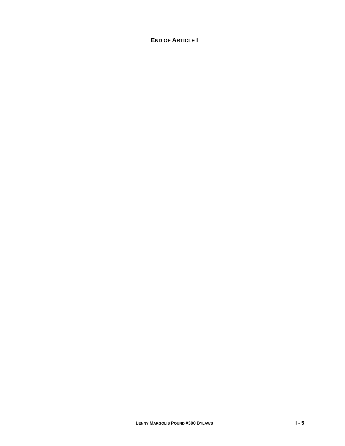#### **END OF ARTICLE I**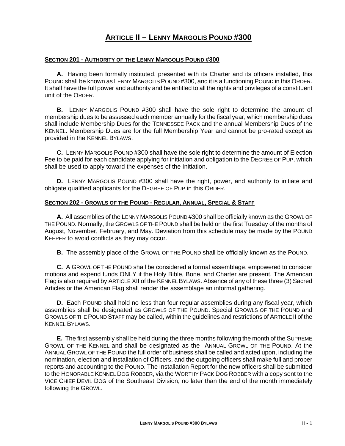## **ARTICLE II – LENNY MARGOLIS POUND #300**

#### **SECTION 201 - AUTHORITY OF THE LENNY MARGOLIS POUND #300**

 **A.** Having been formally instituted, presented with its Charter and its officers installed, this POUND shall be known as LENNY MARGOLIS POUND #300, and it is a functioning POUND in this ORDER. It shall have the full power and authority and be entitled to all the rights and privileges of a constituent unit of the ORDER.

 **B.** LENNY MARGOLIS POUND #300 shall have the sole right to determine the amount of membership dues to be assessed each member annually for the fiscal year, which membership dues shall include Membership Dues for the TENNESSEE PACK and the annual Membership Dues of the KENNEL. Membership Dues are for the full Membership Year and cannot be pro-rated except as provided in the KENNEL BYLAWS.

 **C.** LENNY MARGOLIS POUND #300 shall have the sole right to determine the amount of Election Fee to be paid for each candidate applying for initiation and obligation to the DEGREE OF PUP, which shall be used to apply toward the expenses of the Initiation.

 **D.** LENNY MARGOLIS POUND #300 shall have the right, power, and authority to initiate and obligate qualified applicants for the DEGREE OF PUP in this ORDER.

#### **SECTION 202 - GROWLS OF THE POUND - REGULAR, ANNUAL, SPECIAL & STAFF**

**A.** All assemblies of the LENNY MARGOLIS POUND #300 shall be officially known as the GROWL OF THE POUND. Normally, the GROWLS OF THE POUND shall be held on the first Tuesday of the months of August, November, February, and May. Deviation from this schedule may be made by the POUND KEEPER to avoid conflicts as they may occur.

**B.** The assembly place of the GROWL OF THE POUND shall be officially known as the POUND.

**C.** A GROWL OF THE POUND shall be considered a formal assemblage, empowered to consider motions and expend funds ONLY if the Holy Bible, Bone, and Charter are present. The American Flag is also required by ARTICLE XII of the KENNEL BYLAWS. Absence of any of these three (3) Sacred Articles or the American Flag shall render the assemblage an informal gathering.

**D.** Each POUND shall hold no less than four regular assemblies during any fiscal year, which assemblies shall be designated as GROWLS OF THE POUND. Special GROWLS OF THE POUND and GROWLS OF THE POUND STAFF may be called, within the guidelines and restrictions of ARTICLE II of the KENNEL BYLAWS.

 **E.** The first assembly shall be held during the three months following the month of the SUPREME GROWL OF THE KENNEL and shall be designated as the ANNUAL GROWL OF THE POUND. At the ANNUAL GROWL OF THE POUND the full order of business shall be called and acted upon, including the nomination, election and installation of Officers, and the outgoing officers shall make full and proper reports and accounting to the POUND. The Installation Report for the new officers shall be submitted to the HONORABLE KENNEL DOG ROBBER, via the WORTHY PACK DOG ROBBER with a copy sent to the VICE CHIEF DEVIL DOG of the Southeast Division, no later than the end of the month immediately following the GROWL.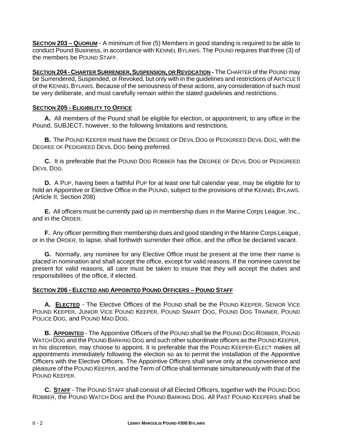**SECTION 203 – QUORUM** - A minimum of five (5) Members in good standing is required to be able to conduct Pound Business, in accordance with KENNEL BYLAWS. The POUND requires that three (3) of the members be POUND STAFF.

**SECTION 204 - CHARTER SURRENDER, SUSPENSION, OR REVOCATION - The CHARTER of the POUND may** be Surrendered, Suspended, or Revoked, but only with in the guidelines and restrictions of ARTICLE II of the KENNEL BYLAWS. Because of the seriousness of these actions, any consideration of such must be very deliberate, and must carefully remain within the stated guidelines and restrictions.

#### **SECTION 205 - ELIGIBILITY TO OFFICE**

**A.** All members of the Pound shall be eligible for election, or appointment, to any office in the Pound, SUBJECT, however, to the following limitations and restrictions.

**B.** The POUND KEEPER must have the DEGREE OF DEVIL DOG or PEDIGREED DEVIL DOG, with the DEGREE OF PEDIGREED DEVIL DOG being preferred.

**C.** It is preferable that the POUND DOG ROBBER has the DEGREE OF DEVIL DOG or PEDIGREED DEVIL DOG.

**D.** A PUP, having been a faithful PUP for at least one full calendar year, may be eligible for to hold an Appointive or Elective Office in the POUND, subject to the provisions of the KENNEL BYLAWS. (Article II, Section 208)

**E.** All officers must be currently paid up in membership dues in the Marine Corps League, Inc., and in the ORDER.

**F.** Any officer permitting their membership dues and good standing in the Marine Corps League, or in the ORDER, to lapse, shall forthwith surrender their office, and the office be declared vacant.

**G.** Normally, any nominee for any Elective Office must be present at the time their name is placed in nomination and shall accept the office, except for valid reasons. If the nominee cannot be present for valid reasons, all care must be taken to insure that they will accept the duties and responsibilities of the office, if elected.

#### **SECTION 206 - ELECTED AND APPOINTED POUND OFFICERS – POUND STAFF**

**A. ELECTED** - The Elective Offices of the POUND shall be the POUND KEEPER, SENIOR VICE POUND KEEPER, JUNIOR VICE POUND KEEPER, POUND SMART DOG, POUND DOG TRAINER, POUND POLICE DOG, and POUND MAD DOG.

**B. APPOINTED** - The Appointive Officers of the POUND shall be the POUND DOG ROBBER, POUND WATCH DOG and the POUND BARKING DOG and such other subordinate officers as the POUND KEEPER, in his discretion, may choose to appoint. It is preferable that the POUND KEEPER-ELECT makes all appointments immediately following the election so as to permit the installation of the Appointive Officers with the Elective Officers. The Appointive Officers shall serve only at the convenience and pleasure of the POUND KEEPER, and the Term of Office shall terminate simultaneously with that of the POUND KEEPER.

 **C. STAFF** - The POUND STAFF shall consist of all Elected Officers, together with the POUND DOG ROBBER, the POUND WATCH DOG and the POUND BARKING DOG. All PAST POUND KEEPERS shall be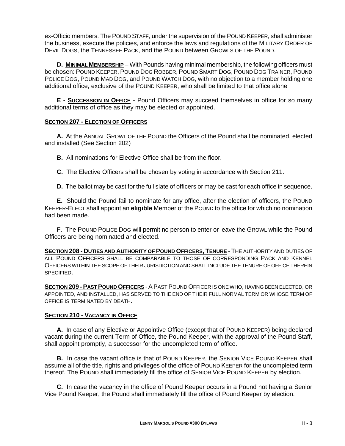ex-Officio members. The POUND STAFF, under the supervision of the POUND KEEPER, shall administer the business, execute the policies, and enforce the laws and regulations of the MILITARY ORDER OF DEVIL DOGS, the TENNESSEE PACK, and the POUND between GROWLS OF THE POUND.

**D. MINIMAL MEMBERSHIP** – With Pounds having minimal membership, the following officers must be chosen: POUND KEEPER, POUND DOG ROBBER, POUND SMART DOG, POUND DOG TRAINER, POUND POLICE DOG, POUND MAD DOG, and POUND WATCH DOG, with no objection to a member holding one additional office, exclusive of the POUND KEEPER, who shall be limited to that office alone

 **E - SUCCESSION IN OFFICE** - Pound Officers may succeed themselves in office for so many additional terms of office as they may be elected or appointed.

#### **SECTION 207 - ELECTION OF OFFICERS**

**A.** At the ANNUAL GROWL OF THE POUND the Officers of the Pound shall be nominated, elected and installed (See Section 202)

**B.** All nominations for Elective Office shall be from the floor.

- **C.** The Elective Officers shall be chosen by voting in accordance with Section 211.
- **D.** The ballot may be cast for the full slate of officers or may be cast for each office in sequence.

**E.** Should the Pound fail to nominate for any office, after the election of officers, the POUND KEEPER-ELECT shall appoint an **eligible** Member of the POUND to the office for which no nomination had been made.

**F**. The POUND POLICE DOG will permit no person to enter or leave the GROWL while the Pound Officers are being nominated and elected.

**SECTION 208 - DUTIES AND AUTHORITY OF POUND OFFICERS, TENURE** - THE AUTHORITY AND DUTIES OF ALL POUND OFFICERS SHALL BE COMPARABLE TO THOSE OF CORRESPONDING PACK AND KENNEL OFFICERS WITHIN THE SCOPE OF THEIR JURISDICTION AND SHALL INCLUDE THE TENURE OF OFFICE THEREIN SPECIFIED.

**SECTION 209 -PAST POUND OFFICERS** -APAST POUND OFFICER IS ONE WHO, HAVING BEEN ELECTED, OR APPOINTED, AND INSTALLED, HAS SERVED TO THE END OF THEIR FULL NORMAL TERM OR WHOSE TERM OF OFFICE IS TERMINATED BY DEATH.

#### **SECTION 210 - VACANCY IN OFFICE**

**A.** In case of any Elective or Appointive Office (except that of POUND KEEPER) being declared vacant during the current Term of Office, the Pound Keeper, with the approval of the Pound Staff, shall appoint promptly, a successor for the uncompleted term of office.

**B.** In case the vacant office is that of POUND KEEPER, the SENIOR VICE POUND KEEPER shall assume all of the title, rights and privileges of the office of POUND KEEPER for the uncompleted term thereof. The POUND shall immediately fill the office of SENIOR VICE POUND KEEPER by election.

**C.** In case the vacancy in the office of Pound Keeper occurs in a Pound not having a Senior Vice Pound Keeper, the Pound shall immediately fill the office of Pound Keeper by election.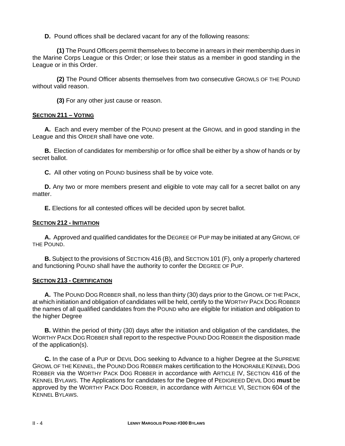**D.** Pound offices shall be declared vacant for any of the following reasons:

 **(1)** The Pound Officers permit themselves to become in arrears in their membership dues in the Marine Corps League or this Order; or lose their status as a member in good standing in the League or in this Order.

 **(2)** The Pound Officer absents themselves from two consecutive GROWLS OF THE POUND without valid reason.

**(3)** For any other just cause or reason.

#### **SECTION 211 – VOTING**

**A.** Each and every member of the POUND present at the GROWL and in good standing in the League and this ORDER shall have one vote.

**B.** Election of candidates for membership or for office shall be either by a show of hands or by secret ballot.

**C.** All other voting on POUND business shall be by voice vote.

**D.** Any two or more members present and eligible to vote may call for a secret ballot on any matter.

**E.** Elections for all contested offices will be decided upon by secret ballot.

#### **SECTION 212 - INITIATION**

**A.** Approved and qualified candidates for the DEGREE OF PUP may be initiated at any GROWL OF THE POUND.

**B.** Subject to the provisions of SECTION 416 (B), and SECTION 101 (F), only a properly chartered and functioning POUND shall have the authority to confer the DEGREE OF PUP.

#### **SECTION 213 - CERTIFICATION**

**A.** The POUND DOG ROBBER shall, no less than thirty (30) days prior to the GROWL OF THE PACK, at which initiation and obligation of candidates will be held, certify to the WORTHY PACK DOG ROBBER the names of all qualified candidates from the POUND who are eligible for initiation and obligation to the higher Degree

**B.** Within the period of thirty (30) days after the initiation and obligation of the candidates, the WORTHY PACK DOG ROBBER shall report to the respective POUND DOG ROBBER the disposition made of the application(s).

 **C.** In the case of a PUP or DEVIL DOG seeking to Advance to a higher Degree at the SUPREME GROWL OF THE KENNEL, the POUND DOG ROBBER makes certification to the HONORABLE KENNEL DOG ROBBER via the WORTHY PACK DOG ROBBER in accordance with ARTICLE IV, SECTION 416 of the KENNEL BYLAWS. The Applications for candidates for the Degree of PEDIGREED DEVIL DOG **must** be approved by the WORTHY PACK DOG ROBBER, in accordance with ARTICLE VI, SECTION 604 of the KENNEL BYLAWS.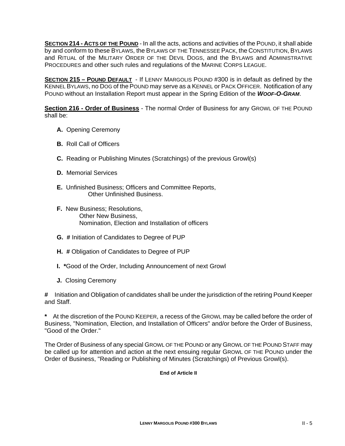**SECTION 214 - ACTS OF THE POUND** - In all the acts, actions and activities of the POUND, it shall abide by and conform to these BYLAWS, the BYLAWS OF THE TENNESSEE PACK, the CONSTITUTION, BYLAWS and RITUAL of the MILITARY ORDER OF THE DEVIL DOGS, and the BYLAWS and ADMINISTRATIVE PROCEDURES and other such rules and regulations of the MARINE CORPS LEAGUE.

**SECTION 215 – POUND DEFAULT** - If LENNY MARGOLIS POUND #300 is in default as defined by the KENNEL BYLAWS, no DOG of the POUND may serve as a KENNEL or PACK OFFICER. Notification of any POUND without an Installation Report must appear in the Spring Edition of the *WOOF-O-GRAM*.

**Section 216 - Order of Business** - The normal Order of Business for any GROWL OF THE POUND shall be:

- **A.** Opening Ceremony
- **B.** Roll Call of Officers
- **C.** Reading or Publishing Minutes (Scratchings) of the previous Growl(s)
- **D.** Memorial Services
- **E.** Unfinished Business; Officers and Committee Reports, Other Unfinished Business.
- **F.** New Business; Resolutions, Other New Business, Nomination, Election and Installation of officers
- **G. #** Initiation of Candidates to Degree of PUP
- **H. #** Obligation of Candidates to Degree of PUP
- **I. \***Good of the Order, Including Announcement of next Growl
- **J.** Closing Ceremony

**#** Initiation and Obligation of candidates shall be under the jurisdiction of the retiring Pound Keeper and Staff.

**\*** At the discretion of the POUND KEEPER, a recess of the GROWL may be called before the order of Business, "Nomination, Election, and Installation of Officers" and/or before the Order of Business, "Good of the Order."

The Order of Business of any special GROWL OF THE POUND or any GROWL OF THE POUND STAFF may be called up for attention and action at the next ensuing regular GROWL OF THE POUND under the Order of Business, "Reading or Publishing of Minutes (Scratchings) of Previous Growl(s).

#### **End of Article II**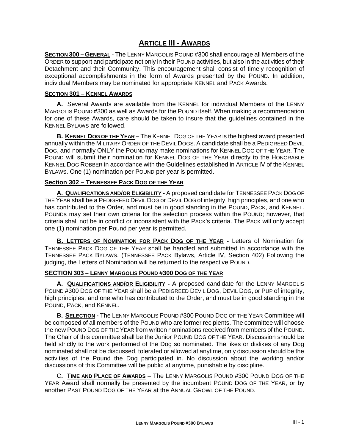# **ARTICLE III - AWARDS**

**SECTION 300 – GENERAL** - The LENNY MARGOLIS POUND #300 shall encourage all Members of the ORDER to support and participate not only in their POUND activities, but also in the activities of their Detachment and their Community. This encouragement shall consist of timely recognition of exceptional accomplishments in the form of Awards presented by the POUND. In addition, individual Members may be nominated for appropriate KENNEL and PACK Awards.

#### **SECTION 301 – KENNEL AWARDS**

 **A.** Several Awards are available from the KENNEL for individual Members of the LENNY MARGOLIS POUND #300 as well as Awards for the POUND itself. When making a recommendation for one of these Awards, care should be taken to insure that the guidelines contained in the KENNEL BYLAWS are followed.

 **B. KENNEL DOG OF THE YEAR** – The KENNEL DOG OF THE YEAR is the highest award presented annually within the MILITARY ORDER OF THE DEVIL DOGS. A candidate shall be a PEDIGREED DEVIL DOG, and normally ONLY the POUND may make nominations for KENNEL DOG OF THE YEAR. The POUND will submit their nomination for KENNEL DOG OF THE YEAR directly to the HONORABLE KENNEL DOG ROBBER in accordance with the Guidelines established in ARTICLE IV of the KENNEL BYLAWS. One (1) nomination per POUND per year is permitted.

#### **Section 302 – TENNESSEE PACK DOG OF THE YEAR**

**A. QUALIFICATIONS AND/OR ELIGIBILITY -** A proposed candidate for TENNESSEE PACK DOG OF THE YEAR shall be a PEDIGREED DEVIL DOG or DEVIL DOG of integrity, high principles, and one who has contributed to the Order, and must be in good standing in the POUND, PACK, and KENNEL. POUNDs may set their own criteria for the selection process within the POUND; however, that criteria shall not be in conflict or inconsistent with the PACK's criteria. The PACK will only accept one (1) nomination per Pound per year is permitted.

**B. LETTERS OF NOMINATION FOR PACK DOG OF THE YEAR -** Letters of Nomination for TENNESSEE PACK DOG OF THE YEAR shall be handled and submitted in accordance with the TENNESSEE PACK BYLAWS. (TENNESSEE PACK Bylaws, Article IV, Section 402) Following the judging, the Letters of Nomination will be returned to the respective POUND.

#### **SECTION 303 – LENNY MARGOLIS POUND #300 DOG OF THE YEAR**

 **A. QUALIFICATIONS AND/OR ELIGIBILITY -** A proposed candidate for the LENNY MARGOLIS POUND #300 DOG OF THE YEAR shall be a PEDIGREED DEVIL DOG, DEVIL DOG, or PUP of integrity, high principles, and one who has contributed to the Order, and must be in good standing in the POUND, PACK, and KENNEL.

 **B. SELECTION -** The LENNY MARGOLIS POUND #300 POUND DOG OF THE YEAR Committee will be composed of all members of the POUND who are former recipients. The committee will choose the new POUND DOG OF THE YEAR from written nominations received from members of the POUND. The Chair of this committee shall be the Junior POUND DOG OF THE YEAR. Discussion should be held strictly to the work performed of the Dog so nominated. The likes or dislikes of any Dog nominated shall not be discussed, tolerated or allowed at anytime, only discussion should be the activities of the Pound the Dog participated in. No discussion about the working and/or discussions of this Committee will be public at anytime, punishable by discipline.

 C**. TIME AND PLACE OF AWARDS** – The LENNY MARGOLIS POUND #300 POUND DOG OF THE YEAR Award shall normally be presented by the incumbent POUND DOG OF THE YEAR, or by another PAST POUND DOG OF THE YEAR at the ANNUAL GROWL OF THE POUND.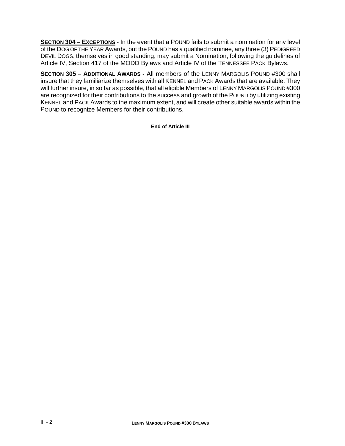**SECTION 304** – **EXCEPTIONS** - In the event that a POUND fails to submit a nomination for any level of the DOG OF THE YEAR Awards, but the POUND has a qualified nominee, any three (3) PEDIGREED DEVIL DOGS, themselves in good standing, may submit a Nomination, following the guidelines of Article IV, Section 417 of the MODD Bylaws and Article IV of the TENNESSEE PACK Bylaws.

**SECTION 305 – ADDITIONAL AWARDS -** All members of the LENNY MARGOLIS POUND #300 shall insure that they familiarize themselves with all KENNEL and PACK Awards that are available. They will further insure, in so far as possible, that all eligible Members of LENNY MARGOLIS POUND #300 are recognized for their contributions to the success and growth of the POUND by utilizing existing KENNEL and PACK Awards to the maximum extent, and will create other suitable awards within the POUND to recognize Members for their contributions.

**End of Article III**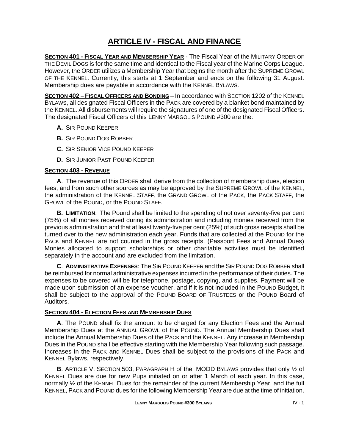# **ARTICLE IV - FISCAL AND FINANCE**

**SECTION 401 - FISCAL YEAR AND MEMBERSHIP YEAR** - The Fiscal Year of the MILITARY ORDER OF THE DEVIL DOGS is for the same time and identical to the Fiscal year of the Marine Corps League. However, the ORDER utilizes a Membership Year that begins the month after the SUPREME GROWL OF THE KENNEL. Currently, this starts at 1 September and ends on the following 31 August. Membership dues are payable in accordance with the KENNEL BYLAWS.

**SECTION 402 – FISCAL OFFICERS AND BONDING** – In accordance with SECTION 1202 of the KENNEL BYLAWS, all designated Fiscal Officers in the PACK are covered by a blanket bond maintained by the KENNEL. All disbursements will require the signatures of one of the designated Fiscal Officers. The designated Fiscal Officers of this LENNY MARGOLIS POUND #300 are the:

- **A.** SIR POUND KEEPER
- **B.** SIR POUND DOG ROBBER
- **C.** SIR SENIOR VICE POUND KEEPER
- **D.** SIR JUNIOR PAST POUND KEEPER

#### **SECTION 403 - REVENUE**

**A**. The revenue of this ORDER shall derive from the collection of membership dues, election fees, and from such other sources as may be approved by the SUPREME GROWL of the KENNEL, the administration of the KENNEL STAFF, the GRAND GROWL of the PACK, the PACK STAFF, the GROWL of the POUND, or the POUND STAFF.

**B. LIMITATION**: The Pound shall be limited to the spending of not over seventy-five per cent (75%) of all monies received during its administration and including monies received from the previous administration and that at least twenty-five per cent (25%) of such gross receipts shall be turned over to the new administration each year. Funds that are collected at the POUND for the PACK and KENNEL are not counted in the gross receipts. (Passport Fees and Annual Dues) Monies allocated to support scholarships or other charitable activities must be identified separately in the account and are excluded from the limitation.

**C**. **ADMINISTRATIVE EXPENSES**: The SIR POUND KEEPER and the SIR POUND DOG ROBBER shall be reimbursed for normal administrative expenses incurred in the performance of their duties. The expenses to be covered will be for telephone, postage, copying, and supplies. Payment will be made upon submission of an expense voucher, and if it is not included in the POUND Budget, it shall be subject to the approval of the POUND BOARD OF TRUSTEES or the POUND Board of Auditors.

#### **SECTION 404 - ELECTION FEES AND MEMBERSHIP DUES**

**A**. The POUND shall fix the amount to be charged for any Election Fees and the Annual Membership Dues at the ANNUAL GROWL of the POUND. The Annual Membership Dues shall include the Annual Membership Dues of the PACK and the KENNEL. Any increase in Membership Dues in the POUND shall be effective starting with the Membership Year following such passage. Increases in the PACK and KENNEL Dues shall be subject to the provisions of the PACK and KENNEL Bylaws, respectively.

**B**. ARTICLE V, SECTION 503, PARAGRAPH H of the MODD BYLAWS provides that only ½ of KENNEL Dues are due for new Pups initiated on or after 1 March of each year. In this case, normally ½ of the KENNEL Dues for the remainder of the current Membership Year, and the full KENNEL, PACK and POUND dues for the following Membership Year are due at the time of initiation.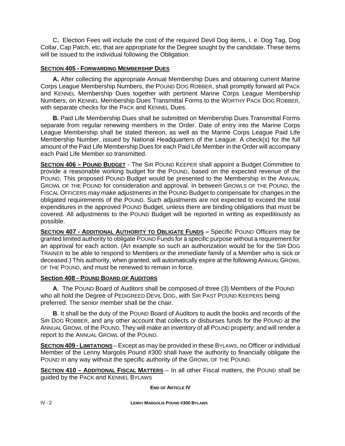C**.** Election Fees will include the cost of the required Devil Dog items, i. e. Dog Tag, Dog Collar, Cap Patch, etc, that are appropriate for the Degree sought by the candidate. These items will be issued to the individual following the Obligation.

#### **SECTION 405 - FORWARDING MEMBERSHIP DUES**

**A.** After collecting the appropriate Annual Membership Dues and obtaining current Marine Corps League Membership Numbers, the POUND DOG ROBBER, shall promptly forward all PACK and KENNEL Membership Dues together with pertinent Marine Corps League Membership Numbers, on KENNEL Membership Dues Transmittal Forms to the WORTHY PACK DOG ROBBER, with separate checks for the PACK and KENNEL Dues.

**B.** Paid Life Membership Dues shall be submitted on Membership Dues Transmittal Forms separate from regular renewing members in the Order. Date of entry into the Marine Corps League Membership shall be stated thereon, as well as the Marine Corps League Paid Life Membership Number, issued by National Headquarters of the League. A check(s) for the full amount of the Paid Life Membership Dues for each Paid Life Member in the Order will accompany each Paid Life Member so transmitted.

**SECTION 406 – POUND BUDGET** - The SIR POUND KEEPER shall appoint a Budget Committee to provide a reasonable working budget for the POUND, based on the expected revenue of the POUND. This proposed POUND Budget would be presented to the Membership in the ANNUAL GROWL OF THE POUND for consideration and approval. In between GROWLS OF THE POUND, the FISCAL OFFICERS may make adjustments in the POUND Budget to compensate for changes in the obligated requirements of the POUND. Such adjustments are not expected to exceed the total expenditures in the approved POUND Budget, unless there are binding obligations that must be covered. All adjustments to the POUND Budget will be reported in writing as expeditiously as possible.

**SECTION 407 - ADDITIONAL AUTHORITY TO OBLIGATE FUNDS - Specific POUND Officers may be** granted limited authority to obligate POUND Funds for a specific purpose without a requirement for an approval for each action. (An example so such an authorization would be for the SIR DOG TRAINER to be able to respond to Members or the immediate family of a Member who is sick or deceased.) This authority, when granted, will automatically expire at the following ANNUAL GROWL OF THE POUND, and must be renewed to remain in force.

#### **Section 408 - POUND BOARD OF AUDITORS**

**A**. The POUND Board of Auditors shall be composed of three (3) Members of the POUND who all hold the Degree of PEDIGREED DEVIL DOG, with SIR PAST POUND KEEPERS being preferred. The senior member shall be the chair.

**B**. It shall be the duty of the POUND Board of Auditors to audit the books and records of the SIR DOG ROBBER, and any other account that collects or disburses funds for the POUND at the ANNUAL GROWL of the POUND. They will make an inventory of all POUND property; and will render a report to the ANNUAL GROWL of the POUND.

**SECTION 409 - LIMITATIONS** – Except as may be provided in these BYLAWS, no Officer or individual Member of the Lenny Margolis Pound #300 shall have the authority to financially obligate the POUND in any way without the specific authority of the GROWL OF THE POUND.

**SECTION 410 – ADDITIONAL FISCAL MATTERS** – In all other Fiscal matters, the POUND shall be guided by the PACK and KENNEL BYLAWS

**END OF ARTICLE IV**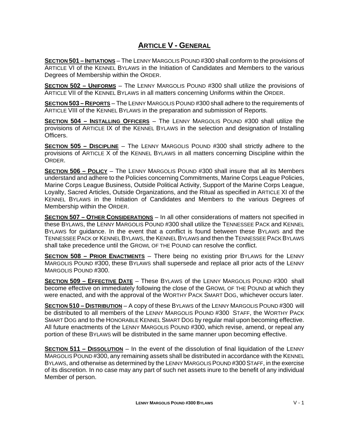# **ARTICLE V - GENERAL**

**SECTION 501 – INITIATIONS** – The LENNY MARGOLIS POUND #300 shall conform to the provisions of ARTICLE VI of the KENNEL BYLAWS in the Initiation of Candidates and Members to the various Degrees of Membership within the ORDER.

**SECTION 502 – UNIFORMS** – The LENNY MARGOLIS POUND #300 shall utilize the provisions of ARTICLE VII of the KENNEL BYLAWS in all matters concerning Uniforms within the ORDER.

**SECTION 503 – REPORTS** – The LENNY MARGOLIS POUND #300 shall adhere to the requirements of ARTICLE VIII of the KENNEL BYLAWS in the preparation and submission of Reports.

**SECTION 504 – INSTALLING OFFICERS** – The LENNY MARGOLIS POUND #300 shall utilize the provisions of ARTICLE IX of the KENNEL BYLAWS in the selection and designation of Installing Officers.

**SECTION 505 – DISCIPLINE** – The LENNY MARGOLIS POUND #300 shall strictly adhere to the provisions of ARTICLE X of the KENNEL BYLAWS in all matters concerning Discipline within the ORDER.

**SECTION 506 – POLICY** – The LENNY MARGOLIS POUND #300 shall insure that all its Members understand and adhere to the Policies concerning Commitments, Marine Corps League Policies, Marine Corps League Business, Outside Political Activity, Support of the Marine Corps League, Loyalty, Sacred Articles, Outside Organizations, and the Ritual as specified in ARTICLE XI of the KENNEL BYLAWS in the Initiation of Candidates and Members to the various Degrees of Membership within the ORDER.

**SECTION 507 – OTHER CONSIDERATIONS** – In all other considerations of matters not specified in these BYLAWS, the LENNY MARGOLIS POUND #300 shall utilize the TENNESSEE PACK and KENNEL BYLAWS for guidance. In the event that a conflict is found between these BYLAWS and the TENNESSEE PACK or KENNEL BYLAWS, the KENNEL BYLAWS and then the TENNESSEE PACK BYLAWS shall take precedence until the GROWL OF THE POUND can resolve the conflict.

**SECTION 508 – PRIOR ENACTMENTS** – There being no existing prior BYLAWS for the LENNY MARGOLIS POUND #300, these BYLAWS shall supersede and replace all prior acts of the LENNY MARGOLIS POUND #300.

**SECTION 509 – EFFECTIVE DATE** – These BYLAWS of the LENNY MARGOLIS POUND #300 shall become effective on immediately following the close of the GROWL OF THE POUND at which they were enacted, and with the approval of the WORTHY PACK SMART DOG, whichever occurs later.

**SECTION 510 – DISTRIBUTION** – A copy of these BYLAWS of the LENNY MARGOLIS POUND #300 will be distributed to all members of the LENNY MARGOLIS POUND #300 STAFF, the WORTHY PACK SMART DOG and to the HONORABLE KENNEL SMART DOG by regular mail upon becoming effective. All future enactments of the LENNY MARGOLIS POUND #300, which revise, amend, or repeal any portion of these BYLAWS will be distributed in the same manner upon becoming effective.

**SECTION 511 – DISSOLUTION** – In the event of the dissolution of final liquidation of the LENNY MARGOLIS POUND #300, any remaining assets shall be distributed in accordance with the KENNEL BYLAWS, and otherwise as determined by the LENNY MARGOLIS POUND#300 STAFF, in the exercise of its discretion. In no case may any part of such net assets inure to the benefit of any individual Member of person.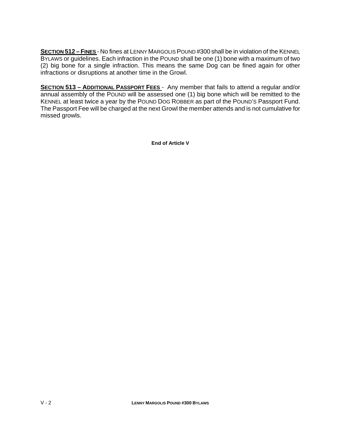**SECTION 512 – FINES** - No fines at LENNY MARGOLIS POUND #300 shall be in violation of the KENNEL BYLAWS or guidelines. Each infraction in the POUND shall be one (1) bone with a maximum of two (2) big bone for a single infraction. This means the same Dog can be fined again for other infractions or disruptions at another time in the Growl.

**SECTION 513 – ADDITIONAL PASSPORT FEES** - Any member that fails to attend a regular and/or annual assembly of the POUND will be assessed one (1) big bone which will be remitted to the KENNEL at least twice a year by the POUND DOG ROBBER as part of the POUND'S Passport Fund. The Passport Fee will be charged at the next Growl the member attends and is not cumulative for missed growls.

**End of Article V**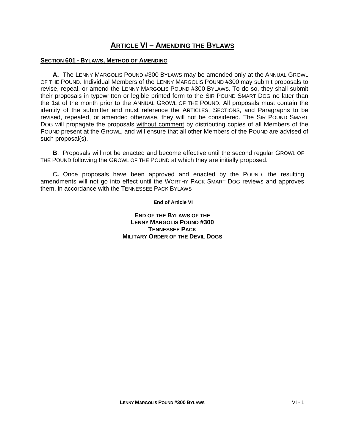### **ARTICLE VI – AMENDING THE BYLAWS**

#### **SECTION 601 - BYLAWS, METHOD OF AMENDING**

**A.** The LENNY MARGOLIS POUND #300 BYLAWS may be amended only at the ANNUAL GROWL OF THE POUND. Individual Members of the LENNY MARGOLIS POUND #300 may submit proposals to revise, repeal, or amend the LENNY MARGOLIS POUND #300 BYLAWS. To do so, they shall submit their proposals in typewritten or legible printed form to the SIR POUND SMART DOG no later than the 1st of the month prior to the ANNUAL GROWL OF THE POUND. All proposals must contain the identity of the submitter and must reference the ARTICLES, SECTIONS, and Paragraphs to be revised, repealed, or amended otherwise, they will not be considered. The SIR POUND SMART DOG will propagate the proposals without comment by distributing copies of all Members of the POUND present at the GROWL, and will ensure that all other Members of the POUND are advised of such proposal(s).

**B**. Proposals will not be enacted and become effective until the second regular GROWL OF THE POUND following the GROWL OF THE POUND at which they are initially proposed.

 C**.** Once proposals have been approved and enacted by the POUND, the resulting amendments will not go into effect until the WORTHY PACK SMART DOG reviews and approves them, in accordance with the TENNESSEE PACK BYLAWS

**End of Article VI** 

**END OF THE BYLAWS OF THE LENNY MARGOLIS POUND #300 TENNESSEE PACK MILITARY ORDER OF THE DEVIL DOGS**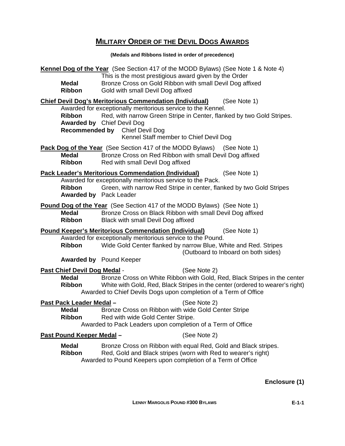# **MILITARY ORDER OF THE DEVIL DOGS AWARDS**

**(Medals and Ribbons listed in order of precedence)** 

| Medal<br>Ribbon                                           | Kennel Dog of the Year (See Section 417 of the MODD Bylaws) (See Note 1 & Note 4)<br>This is the most prestigious award given by the Order<br>Bronze Cross on Gold Ribbon with small Devil Dog affixed<br>Gold with small Devil Dog affixed                                                                                                     |
|-----------------------------------------------------------|-------------------------------------------------------------------------------------------------------------------------------------------------------------------------------------------------------------------------------------------------------------------------------------------------------------------------------------------------|
| <b>Ribbon</b>                                             | <b>Chief Devil Dog's Meritorious Commendation (Individual)</b><br>(See Note 1)<br>Awarded for exceptionally meritorious service to the Kennel.<br>Red, with narrow Green Stripe in Center, flanked by two Gold Stripes.<br><b>Awarded by</b> Chief Devil Dog<br><b>Recommended by</b> Chief Devil Dog<br>Kennel Staff member to Chief Devil Dog |
| <b>Medal</b><br>Ribbon                                    | Pack Dog of the Year (See Section 417 of the MODD Bylaws) (See Note 1)<br>Bronze Cross on Red Ribbon with small Devil Dog affixed<br>Red with small Devil Dog affixed                                                                                                                                                                           |
| <b>Ribbon</b><br><b>Awarded by Pack Leader</b>            | <b>Pack Leader's Meritorious Commendation (Individual)</b><br>(See Note 1)<br>Awarded for exceptionally meritorious service to the Pack.<br>Green, with narrow Red Stripe in center, flanked by two Gold Stripes                                                                                                                                |
| <b>Medal</b><br>Ribbon                                    | <b>Pound Dog of the Year</b> (See Section 417 of the MODD Bylaws) (See Note 1)<br>Bronze Cross on Black Ribbon with small Devil Dog affixed<br>Black with small Devil Dog affixed                                                                                                                                                               |
| Ribbon                                                    | <b>Pound Keeper's Meritorious Commendation (Individual)</b><br>(See Note 1)<br>Awarded for exceptionally meritorious service to the Pound.<br>Wide Gold Center flanked by narrow Blue, White and Red. Stripes<br>(Outboard to Inboard on both sides)<br><b>Awarded by</b> Pound Keeper                                                          |
| <b>Past Chief Devil Dog Medal -</b><br>Medal<br>Ribbon    | (See Note 2)<br>Bronze Cross on White Ribbon with Gold, Red, Black Stripes in the center<br>White with Gold, Red, Black Stripes in the center (ordered to wearer's right)<br>Awarded to Chief Devils Dogs upon completion of a Term of Office                                                                                                   |
| Past Pack Leader Medal -<br><b>Medal</b><br><b>Ribbon</b> | (See Note 2)<br>Bronze Cross on Ribbon with wide Gold Center Stripe<br>Red with wide Gold Center Stripe.<br>Awarded to Pack Leaders upon completion of a Term of Office                                                                                                                                                                         |
| <u>Past Pound Keeper Medal -</u>                          | (See Note 2)                                                                                                                                                                                                                                                                                                                                    |
| <b>Medal</b><br><b>Ribbon</b>                             | Bronze Cross on Ribbon with equal Red, Gold and Black stripes.<br>Red, Gold and Black stripes (worn with Red to wearer's right)<br>Awarded to Pound Keepers upon completion of a Term of Office                                                                                                                                                 |

**Enclosure (1)**